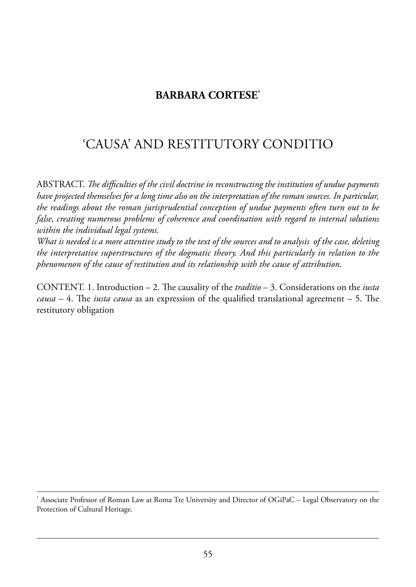## **BARBARA CORTESE\***

# 'Causa' and restitutorY Conditio

aBstraCt. *e difficulties of the civil doctrine in reconstructing the institution of undue payments have projected themselves for a long time also on the interpretation of the roman sources. In particular, the readings about the roman jurisprudential conception of undue payments often turn out to be false, creating numerous problems of coherence and coordination with regard to internal solutions within the individual legal systems.*

*What is needed is a more attentive study to the text of the sources and to analysis of the case, deleting the interpretative superstructures of the dogmatic theory. And this particularly in relation to the phenomenon of the cause of restitution and its relationship with the cause of attribution.*

CONTENT. 1. Introduction – 2. The causality of the *traditio* – 3. Considerations on the *iusta causa – 4.* The *iusta causa* as an expression of the qualified translational agreement – 5. The restitutory obligation

Associate Professor of Roman Law at Roma Tre University and Director of OGiPaC – Legal Observatory on the Protection of Cultural Heritage.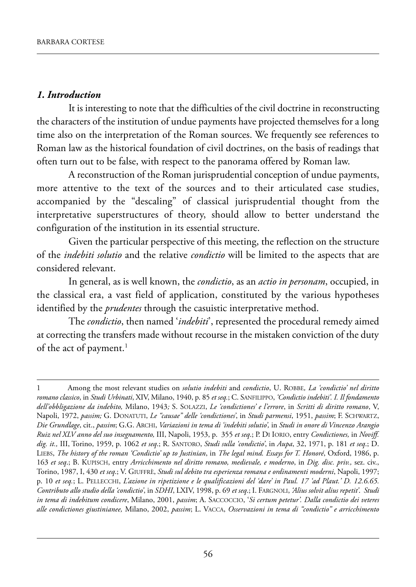#### *1. Introduction*

It is interesting to note that the difficulties of the civil doctrine in reconstructing the characters of the institution of undue payments have projected themselves for a long time also on the interpretation of the Roman sources. We frequently see references to Roman law as the historical foundation of civil doctrines, on the basis of readings that often turn out to be false, with respect to the panorama offered by Roman law.

A reconstruction of the Roman jurisprudential conception of undue payments, more attentive to the text of the sources and to their articulated case studies, accompanied by the "descaling" of classical jurisprudential thought from the interpretative superstructures of theory, should allow to better understand the configuration of the institution in its essential structure.

Given the particular perspective of this meeting, the reflection on the structure of the *indebiti solutio* and the relative *condictio* will be limited to the aspects that are considered relevant.

In general, as is well known, the *condictio*, as an *actio in personam*, occupied, in the classical era, a vast field of application, constituted by the various hypotheses identified by the *prudentes* through the casuistic interpretative method.

the *condictio*, then named '*indebiti*', represented the procedural remedy aimed at correcting the transfers made without recourse in the mistaken conviction of the duty of the act of payment.<sup>1</sup>

<sup>1</sup> Among the most relevant studies on *solutio indebiti* and *condictio*, U. ROBBE, La 'condictio' nel diritto *romano classico*, in *Studi Urbinati*, XiV, milano, 1940, p. 85 *et seq.*; C. sanfilippo, *'Condictio indebiti'. I. Il fondamento dell'obbligazione da indebito,* milano, 1943*;* s. solaZZi, *Le 'condictiones' e l'errore*, in *Scritti di diritto romano*, V, Napoli, 1972, passim; G. DONATUTI, *Le "causae" delle 'condictiones*', in *Studi parmensi*, 1951, passim; F. SCHWARTZ, *Die Grundlage*, cit., *passim*; G.G. arChi, *Variazioni in tema di 'indebiti solutio',* in *Studi in onore di Vincenzo Arangio Ruiz nel XLV anno del suo insegnamento,* iii, napoli, 1953, p. 355 *et seq*.; p. di iorio, entry *Condictiones,* in *Noviff. dig. it.,* iii, torino, 1959, p. 1062 *et seq*.; r. santoro, *Studi sulla 'condictio'*, in *Aupa*, 32, 1971, p. 181 *et seq*.; d. lieBs, *The history of the roman 'Condictio' up to Justinian*, in *The legal mind. Essays for T. Honoré*, oxford, 1986, p. 163 *et seq*.; B. kupisCh, entry *Arricchimento nel diritto romano, medievale, e moderno*, in *Dig. disc. priv.,* sez. civ., torino, 1987, i, 430 *et seq*.; V. Giuffrè, *Studi sul debito tra esperienza romana e ordinamenti moderni*, napoli, 1997; p. 10 *et seq.*; l. pelleCChi, *L'azione in ripetizione e le qualificazioni del 'dare' in Paul. 17 'ad Plaut.' D. 12.6.65. Contributo allo studio della 'condictio'*, in *SDHI*, lXiV, 1998, p. 69 *et seq*.; i. farGnoli, *'Alius solvit alius repetit'*. *Studi in tema di indebitum condicere*, milano, 2001, *passim*; a. saCCoCCio, '*Si certum petetur'. Dalla condictio dei veteres alle condictiones giustinianee,* milano, 2002, *passim*; l. VaCCa, *Osservazioni in tema di "condictio" e arricchimento*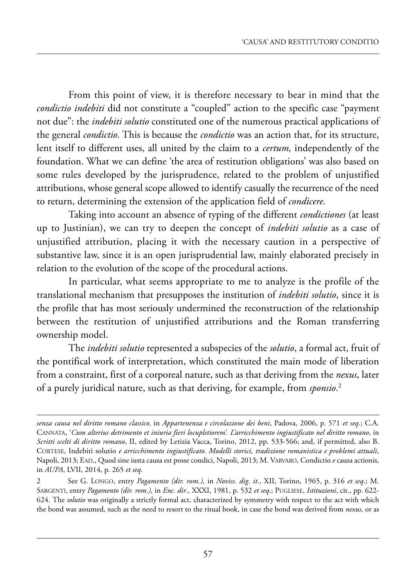from this point of view, it is therefore necessary to bear in mind that the *condictio indebiti* did not constitute a "coupled" action to the specific case "payment not due": the *indebiti solutio* constituted one of the numerous practical applications of the general *condictio*. this is because the *condictio* was an action that, for its structure, lent itself to different uses, all united by the claim to a *certum,* independently of the foundation. what we can define 'the area of restitution obligations' was also based on some rules developed by the jurisprudence, related to the problem of unjustified attributions, whose general scope allowed to identify casually the recurrence of the need to return, determining the extension of the application field of *condicere*.

Taking into account an absence of typing of the different *condictiones* (at least up to Justinian), we can try to deepen the concept of *indebiti solutio* as a case of unjustified attribution, placing it with the necessary caution in a perspective of substantive law, since it is an open jurisprudential law, mainly elaborated precisely in relation to the evolution of the scope of the procedural actions.

In particular, what seems appropriate to me to analyze is the profile of the translational mechanism that presupposes the institution of *indebiti solutio*, since it is the profile that has most seriously undermined the reconstruction of the relationship between the restitution of unjustified attributions and the Roman transferring ownership model.

the *indebiti solutio* represented a subspecies of the *solutio*, a formal act, fruit of the pontifical work of interpretation, which constituted the main mode of liberation from a constraint, first of a corporeal nature, such as that deriving from the *nexus*, later of a purely juridical nature, such as that deriving, for example, from *sponsio*. 2

*senza causa nel diritto romano classico,* in *Appartenenza e circolazione dei beni*, padova, 2006, p. 571 *et seq*.; C.a. Cannata, '*Cum alterius detrimento et iniuria fieri locupletiorem'. L'arricchimento ingiustificato nel diritto romano*, in *Scritti scelti di diritto romano*, ii, edited by letizia Vacca, torino, 2012, pp. 533-566; and, if permitted, also B. Cortese, indebiti solutio *e arricchimento ingiustificato. Modelli storici, tradizione romanistica e problemi attuali*, Napoli, 2013; EAD., Quod sine iusta causa est posse condici, Napoli, 2013; M. VARVARO, Condictio e causa actionis, in *AUPA*, lVii, 2014, p. 265 *et seq*.

<sup>2</sup> see G. lonGo, entry *Pagamento (dir. rom.),* in *Noviss. dig. it.*, Xii, torino, 1965, p. 316 *et seq*.; m. sarGenti, entry *Pagamento (dir. rom.),* in *Enc. dir*., XXXi, 1981, p. 532 *et seq*.; puGliese, *Istituzioni*, cit., pp. 622- 624. the *solutio* was originally a strictly formal act, characterized by symmetry with respect to the act with which the bond was assumed, such as the need to resort to the ritual book, in case the bond was derived from *nexus,* or as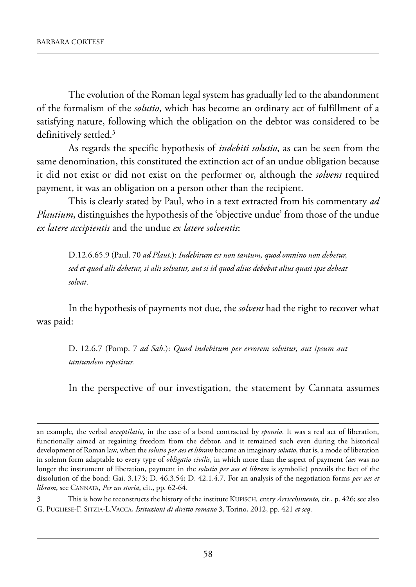The evolution of the Roman legal system has gradually led to the abandonment of the formalism of the *solutio*, which has become an ordinary act of fulfillment of a satisfying nature, following which the obligation on the debtor was considered to be definitively settled.<sup>3</sup>

as regards the specific hypothesis of *indebiti solutio*, as can be seen from the same denomination, this constituted the extinction act of an undue obligation because it did not exist or did not exist on the performer or, although the *solvens* required payment, it was an obligation on a person other than the recipient.

this is clearly stated by paul, who in a text extracted from his commentary *ad Plautium*, distinguishes the hypothesis of the 'objective undue' from those of the undue *ex latere accipientis* and the undue *ex latere solventis*:

d.12.6.65.9 (paul. 70 *ad Plaut.*): *Indebitum est non tantum, quod omnino non debetur, sed et quod alii debetur, si alii solvatur, aut si id quod alius debebat alius quasi ipse debeat solvat*.

In the hypothesis of payments not due, the *solvens* had the right to recover what was paid:

d. 12.6.7 (pomp. 7 *ad Sab*.): *Quod indebitum per errorem solvitur, aut ipsum aut tantundem repetitur.*

In the perspective of our investigation, the statement by Cannata assumes

3 this is how he reconstructs the history of the institute kupisCh*,* entry *Arricchimento,* cit., p. 426; see also G. puGliese-f. sitZia-l.VaCCa, *Istituzioni di diritto romano* 3, torino, 2012, pp. 421 *et seq*.

an example, the verbal *acceptilatio*, in the case of a bond contracted by *sponsio*. it was a real act of liberation, functionally aimed at regaining freedom from the debtor, and it remained such even during the historical development of Roman law, when the *solutio per aes et libram* became an imaginary *solutio*, that is, a mode of liberation in solemn form adaptable to every type of *obligatio civilis*, in which more than the aspect of payment (*aes* was no longer the instrument of liberation, payment in the *solutio per aes et libram* is symbolic) prevails the fact of the dissolution of the bond: Gai. 3.173; D. 46.3.54; D. 42.1.4.7. For an analysis of the negotiation forms *per aes et libram*, see Cannata, *Per un storia*, cit., pp. 62-64.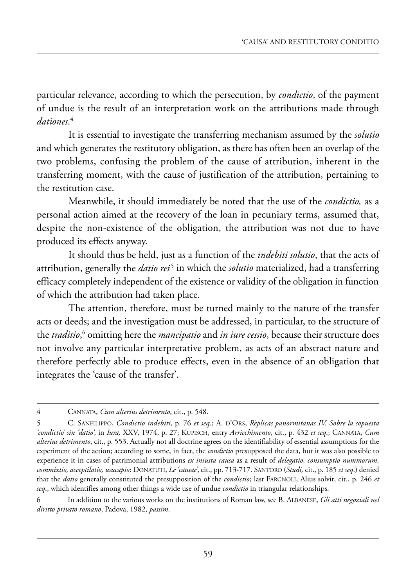particular relevance, according to which the persecution, by *condictio*, of the payment of undue is the result of an interpretation work on the attributions made through *dationes*. 4

It is essential to investigate the transferring mechanism assumed by the *solutio* and which generates the restitutory obligation, as there has often been an overlap of the two problems, confusing the problem of the cause of attribution, inherent in the transferring moment, with the cause of justification of the attribution, pertaining to the restitution case.

Meanwhile, it should immediately be noted that the use of the *condictio,* as a personal action aimed at the recovery of the loan in pecuniary terms, assumed that, despite the non-existence of the obligation, the attribution was not due to have produced its effects anyway.

It should thus be held, just as a function of the *indebiti solutio*, that the acts of attribution, generally the *datio rei* <sup>5</sup> in which the *solutio* materialized, had a transferring efficacy completely independent of the existence or validity of the obligation in function of which the attribution had taken place.

The attention, therefore, must be turned mainly to the nature of the transfer acts or deeds; and the investigation must be addressed, in particular, to the structure of the *traditio*, <sup>6</sup> omitting here the *mancipatio* and *in iure cessio*, because their structure does not involve any particular interpretative problem, as acts of an abstract nature and therefore perfectly able to produce effects, even in the absence of an obligation that integrates the 'cause of the transfer'.

<sup>4</sup> CANNATA, *Cum alterius detrimento*, cit., p. 548.

<sup>5</sup> C. SANFILIPPO, *Condictio indebiti*, p. 76 *et seq*.; A. D'ORS, *Rèplicas panormitanas IV. Sobre la sopuesta 'condictio' sin 'datio'*, in *Iura,* XXV, 1974, p. 27; KUPISCH, entry *Arricchimento*, cit., p. 432 *et seq*.; CANNATA, *Cum alterius detrimento*, cit., p. 553. Actually not all doctrine agrees on the identifiability of essential assumptions for the experiment of the action; according to some, in fact, the *condictio* presupposed the data, but it was also possible to experience it in cases of patrimonial attributions *ex iniusta causa* as a result of *delegatio, consumptio nummorum, commixtio, acceptilatio, usucapio*: DONATUTI, *Le 'causae'*, cit., pp. 713-717. SANTORO (*Studi,* cit., p. 185 *et seq*.) denied that the *datio* generally constituted the presupposition of the *condictio*; last FARGNOLI, Alius solvit, cit., p. 246 *et seq*., which identifies among other things a wide use of undue *condictio* in triangular relationships.

<sup>6</sup> In addition to the various works on the institutions of Roman law, see B. ALBANESE, *Gli atti negoziali nel diritto privato romano*, Padova, 1982, *passim*.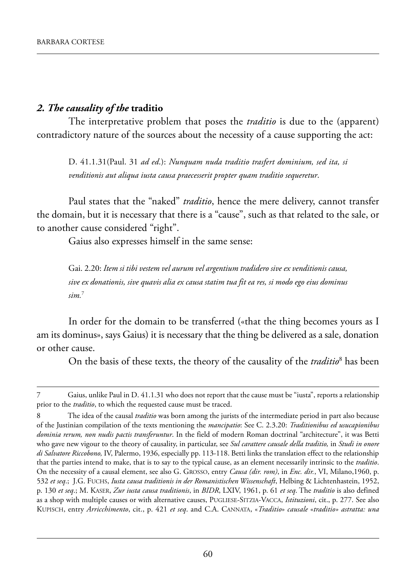#### *2. The causality of the* **traditio**

The interpretative problem that poses the *traditio* is due to the (apparent) contradictory nature of the sources about the necessity of a cause supporting the act:

d. 41.1.31(paul. 31 *ad ed*.): *Nunquam nuda traditio trasfert dominium, sed ita, si venditionis aut aliqua iusta causa praecesserit propter quam traditio sequeretur*.

paul states that the "naked" *traditio*, hence the mere delivery, cannot transfer the domain, but it is necessary that there is a "cause", such as that related to the sale, or to another cause considered "right".

Gaius also expresses himself in the same sense:

Gai. 2.20: *Item si tibi vestem vel aurum vel argentium tradidero sive ex venditionis causa, sive ex donationis, sive quavis alia ex causa statim tua fit ea res, si modo ego eius dominus sim.*<sup>7</sup>

In order for the domain to be transferred («that the thing becomes yours as I am its dominus», says Gaius) it is necessary that the thing be delivered as a sale, donation or other cause.

On the basis of these texts, the theory of the causality of the *traditio*<sup>8</sup> has been

Gaius, unlike Paul in D. 41.1.31 who does not report that the cause must be "iusta", reports a relationship prior to the *traditio*, to which the requested cause must be traced.

<sup>8</sup> The idea of the causal *traditio* was born among the jurists of the intermediate period in part also because of the Justinian compilation of the texts mentioning the *mancipatio*: see C. 2.3.20: *Traditionibus ed usucapionibus* dominia rerum, non nudis pactis transferuntur. In the field of modern Roman doctrinal "architecture", it was Betti who gave new vigour to the theory of causality, in particular, see *Sul carattere causale della traditio,* in *Studi in onore di Salvatore Riccobono,* iV, palermo, 1936, especially pp. 113-118. Betti links the translation effect to the relationship that the parties intend to make, that is to say to the typical cause, as an element necessarily intrinsic to the *traditio*. on the necessity of a causal element, see also G. Grosso, entry *Causa (dir. rom)*, in *Enc. dir.*, Vi, milano,1960, p. 532 *et seq*.; J.G. fuChs, *Iusta causa traditionis in der Romanistischen Wissenschaft*, helbing & lichtenhastein, 1952, p. 130 *et seq*.; m. kaser, *Zur iusta causa traditionis*, in *BIDR*, lXiV, 1961, p. 61 *et seq*. the *traditio* is also defined as a shop with multiple causes or with alternative causes, puGliese-sitZia-VaCCa, *Istituzioni*, cit., p. 277. see also kupisCh, entry *Arricchimento*, cit., p. 421 *et seq*. and C.a. Cannata, «*Traditio*» *causale* «*traditio» astratta: una*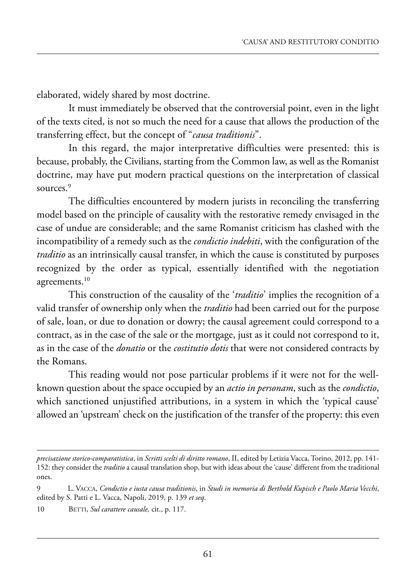elaborated, widely shared by most doctrine.

It must immediately be observed that the controversial point, even in the light of the texts cited, is not so much the need for a cause that allows the production of the transferring effect, but the concept of "*causa traditionis*".

In this regard, the major interpretative difficulties were presented: this is because, probably, the Civilians, starting from the Common law, as well as the Romanist doctrine, may have put modern practical questions on the interpretation of classical sources.<sup>9</sup>

The difficulties encountered by modern jurists in reconciling the transferring model based on the principle of causality with the restorative remedy envisaged in the case of undue are considerable; and the same Romanist criticism has clashed with the incompatibility of a remedy such as the *condictio indebiti*, with the configuration of the *traditio* as an intrinsically causal transfer, in which the cause is constituted by purposes recognized by the order as typical, essentially identified with the negotiation agreements.<sup>10</sup>

This construction of the causality of the '*traditio*' implies the recognition of a valid transfer of ownership only when the *traditio* had been carried out for the purpose of sale, loan, or due to donation or dowry; the causal agreement could correspond to a contract, as in the case of the sale or the mortgage, just as it could not correspond to it, as in the case of the *donatio* or the *costitutio dotis* that were not considered contracts by the Romans.

This reading would not pose particular problems if it were not for the wellknown question about the space occupied by an *actio in personam*, such as the *condictio*, which sanctioned unjustified attributions, in a system in which the 'typical cause' allowed an 'upstream' check on the justification of the transfer of the property: this even

*precisazione storico-comparatistica*, in *Scritti scelti di diritto romano*, ii, edited by letizia Vacca, torino, 2012, pp. 141- 152: they consider the *traditio* a causal translation shop, but with ideas about the 'cause' different from the traditional ones.

<sup>9</sup> l. VaCCa, *Condictio e iusta causa traditionis*, in *Studi in memoria di Berthold Kupisch e Paolo Maria Vecchi*, edited by S. Patti e L. Vacca, Napoli, 2019, p. 139 et seq.

<sup>10</sup> BETTI, *Sul carattere causale*, cit., p. 117.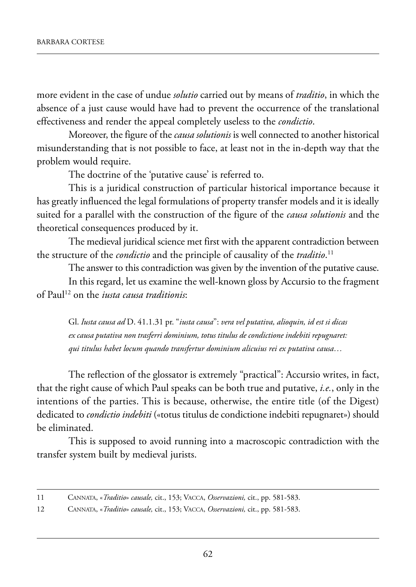more evident in the case of undue *solutio* carried out by means of *traditio*, in which the absence of a just cause would have had to prevent the occurrence of the translational effectiveness and render the appeal completely useless to the *condictio*.

moreover, the figure of the *causa solutionis* is well connected to another historical misunderstanding that is not possible to face, at least not in the in-depth way that the problem would require.

The doctrine of the 'putative cause' is referred to.

This is a juridical construction of particular historical importance because it has greatly influenced the legal formulations of property transfer models and it is ideally suited for a parallel with the construction of the figure of the *causa solutionis* and the theoretical consequences produced by it.

The medieval juridical science met first with the apparent contradiction between the structure of the *condictio* and the principle of causality of the *traditio*. 11

The answer to this contradiction was given by the invention of the putative cause.

In this regard, let us examine the well-known gloss by Accursio to the fragment of paul12 on the *iusta causa traditionis*:

Gl. Iusta causa ad D. 41.1.31 pr. "*iusta causa*": *vera vel putativa, alioquin, id est si dicas ex causa putativa non trasferri dominium, totus titulus de condictione indebiti repugnaret: qui titulus habet locum quando transfertur dominium alicuius rei ex putativa causa…*

The reflection of the glossator is extremely "practical": Accursio writes, in fact, that the right cause of which paul speaks can be both true and putative, *i.e.*, only in the intentions of the parties. This is because, otherwise, the entire title (of the Digest) dedicated to *condictio indebiti* («totus titulus de condictione indebiti repugnaret») should be eliminated.

This is supposed to avoid running into a macroscopic contradiction with the transfer system built by medieval jurists.

<sup>11</sup> Cannata, «*Traditio*» *causale,* cit., 153; VaCCa, *Osservazioni,* cit., pp. 581-583.

<sup>12</sup> Cannata, «*Traditio*» *causale,* cit., 153; VaCCa, *Osservazioni,* cit., pp. 581-583.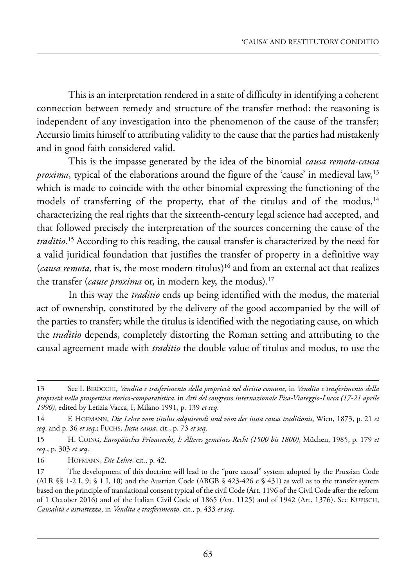This is an interpretation rendered in a state of difficulty in identifying a coherent connection between remedy and structure of the transfer method: the reasoning is independent of any investigation into the phenomenon of the cause of the transfer; accursio limits himself to attributing validity to the cause that the parties had mistakenly and in good faith considered valid.

this is the impasse generated by the idea of the binomial *causa remota-causa proxima*, typical of the elaborations around the figure of the 'cause' in medieval law,<sup>13</sup> which is made to coincide with the other binomial expressing the functioning of the models of transferring of the property, that of the titulus and of the modus, $14$ characterizing the real rights that the sixteenth-century legal science had accepted, and that followed precisely the interpretation of the sources concerning the cause of the *traditio*.<sup>15</sup> According to this reading, the causal transfer is characterized by the need for a valid juridical foundation that justifies the transfer of property in a definitive way (*causa remota*, that is, the most modern titulus)16 and from an external act that realizes the transfer (*cause proxima* or, in modern key, the modus).<sup>17</sup>

In this way the *traditio* ends up being identified with the modus, the material act of ownership, constituted by the delivery of the good accompanied by the will of the parties to transfer; while the titulus is identified with the negotiating cause, on which the *traditio* depends, completely distorting the Roman setting and attributing to the causal agreement made with *traditio* the double value of titulus and modus, to use the

<sup>13</sup> see i. BiroCChi, *Vendita e trasferimento della proprietà nel diritto comune*, in *Vendita e trasferimento della proprietà nella prospettiva storico-comparatistica*, in *Atti del congresso internazionale Pisa-Viareggio-Lucca (17-21 aprile 1990)*, edited by letizia Vacca, i, milano 1991, p. 139 *et seq*.

<sup>14</sup> f. hofmann, *Die Lehre vom titulus adquirendi und vom der iusta causa traditionis*, wien, 1873, p. 21 *et seq*. and p. 36 *et seq*.; fuChs, *Iusta causa*, cit., p. 73 *et seq*.

<sup>15</sup> h. CoinG, *Europäisches Privatrecht, I: Älteres gemeines Recht (1500 bis 1800)*, müchen, 1985, p. 179 *et seq*., p. 303 *et seq*.

<sup>16</sup> hofmann, *Die Lehre,* cit., p. 42.

<sup>17</sup> The development of this doctrine will lead to the "pure causal" system adopted by the Prussian Code (ALR  $\S$ § 1-2 I, 9; § 1 I, 10) and the Austrian Code (ABGB § 423-426 e § 431) as well as to the transfer system based on the principle of translational consent typical of the civil Code (art. 1196 of the Civil Code after the reform of 1 october 2016) and of the italian Civil Code of 1865 (art. 1125) and of 1942 (art. 1376). see kupisCh, *Causalità e astrattezza*, in *Vendita e trasferimento*, cit., p. 433 *et seq*.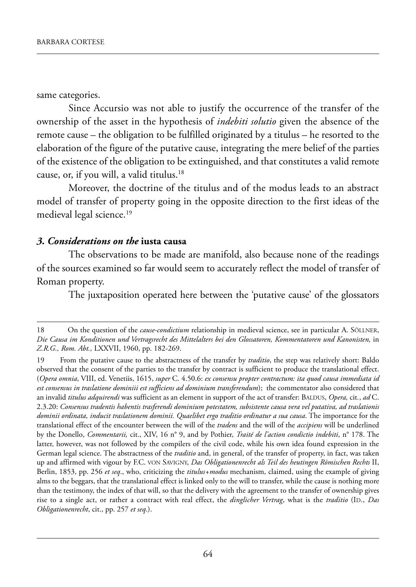same categories.

Since Accursio was not able to justify the occurrence of the transfer of the ownership of the asset in the hypothesis of *indebiti solutio* given the absence of the remote cause – the obligation to be fulfilled originated by a titulus – he resorted to the elaboration of the figure of the putative cause, integrating the mere belief of the parties of the existence of the obligation to be extinguished, and that constitutes a valid remote cause, or, if you will, a valid titulus.18

moreover, the doctrine of the titulus and of the modus leads to an abstract model of transfer of property going in the opposite direction to the first ideas of the medieval legal science.<sup>19</sup>

#### *3. Considerations on the* **iusta causa**

The observations to be made are manifold, also because none of the readings of the sources examined so far would seem to accurately reflect the model of transfer of Roman property.

The juxtaposition operated here between the 'putative cause' of the glossators

<sup>18</sup> On the question of the *cause-condictium* relationship in medieval science, see in particular A. SÖLLNER, *Die Causa im Konditionen und Vertragsrecht des Mittelalters bei den Glossatoren, Kommentatoren und Kanonisten,* in *Z.R.G., Rom. Abt.,* lXXVii, 1960, pp. 182-269.

<sup>19</sup> from the putative cause to the abstractness of the transfer by *traditio*, the step was relatively short: Baldo observed that the consent of the parties to the transfer by contract is sufficient to produce the translational effect. (*Opera omnia*, Viii, ed. Venetiis, 1615, *super* C. 4.50.6: *ex consensu propter contractum: ita quod causa immediata id est consensus in traslatione dominiii est sufficiens ad dominium transferendum*); the commentator also considered that an invalid *titulus adquirendi* was sufficient as an element in support of the act of transfer: BALDUS, *Opera*, cit., *ad* C. 2.3.20: *Consensus tradentis habentis trasferendi dominium potestatem, subsistente causa vera vel putativa, ad traslationis dominii ordinata, inducit traslationem dominii. Quaelibet ergo traditio ordinatur a sua causa*. the importance for the translational effect of the encounter between the will of the *tradens* and the will of the *accipiens* will be underlined by the Donello, *Commentarii, cit., XIV, 16* n° 9, and by Pothier, *Traité de l'action condictio indebiti*, n° 178. The latter, however, was not followed by the compilers of the civil code, while his own idea found expression in the German legal science. the abstractness of the *traditio* and, in general, of the transfer of property, in fact, was taken up and affirmed with vigour by F.C. VON SAVIGNY, *Das Obligationenrecht als Teil des heutingen Römischen Rechts* II, Berlin, 1853, pp. 256 *et seq*., who, criticizing the *titulus+modus* mechanism, claimed, using the example of giving alms to the beggars, that the translational effect is linked only to the will to transfer, while the cause is nothing more than the testimony, the index of that will, so that the delivery with the agreement to the transfer of ownership gives rise to a single act, or rather a contract with real effect, the *dinglicher Vertrag*, what is the *traditio* (ID., *Das Obligationenrecht*, cit., pp. 257 *et seq*.).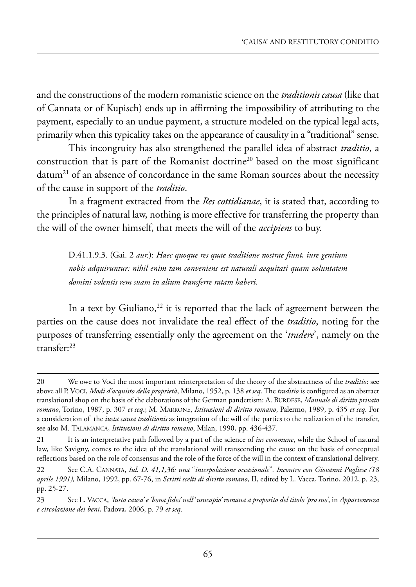and the constructions of the modern romanistic science on the *traditionis causa* (like that of Cannata or of kupisch) ends up in affirming the impossibility of attributing to the payment, especially to an undue payment, a structure modeled on the typical legal acts, primarily when this typicality takes on the appearance of causality in a "traditional" sense.

this incongruity has also strengthened the parallel idea of abstract *traditio*, a construction that is part of the Romanist doctrine<sup>20</sup> based on the most significant datum<sup>21</sup> of an absence of concordance in the same Roman sources about the necessity of the cause in support of the *traditio*.

In a fragment extracted from the *Res cottidianae*, it is stated that, according to the principles of natural law, nothing is more effective for transferring the property than the will of the owner himself, that meets the will of the *accipiens* to buy.

d.41.1.9.3. (Gai. 2 *aur.*): *Haec quoque res quae traditione nostrae fiunt, iure gentium nobis adquiruntur: nihil enim tam conveniens est naturali aequitati quam voluntatem domini volentis rem suam in alium transferre ratam haberi*.

In a text by Giuliano, $22$  it is reported that the lack of agreement between the parties on the cause does not invalidate the real effect of the *traditio*, noting for the purposes of transferring essentially only the agreement on the '*tradere*', namely on the transfer:23

<sup>20</sup> we owe to Voci the most important reinterpretation of the theory of the abstractness of the *traditio*: see above all p. VoCi, *Modi d'acquisto della proprietà*, milano, 1952, p. 138 *et seq*. the *traditio* is configured as an abstract translational shop on the basis of the elaborations of the German pandettism: A. BURDESE, *Manuale di diritto privato romano*, torino, 1987, p. 307 *et seq*.; m. marrone, *Istituzioni di diritto romano*, palermo, 1989, p. 435 *et seq*. for a consideration of the *iusta causa traditionis* as integration of the will of the parties to the realization of the transfer, see also M. TALAMANCA, *Istituzioni di diritto romano*, Milan, 1990, pp. 436-437.

<sup>21</sup> It is an interpretative path followed by a part of the science of *ius commune*, while the School of natural law, like savigny, comes to the idea of the translational will transcending the cause on the basis of conceptual reflections based on the role of consensus and the role of the force of the will in the context of translational delivery.

<sup>22</sup> see C.a. Cannata, *Iul. D. 41,1,36: una* "*interpolazione occasionale*"*. Incontro con Giovanni Pugliese (18 aprile 1991),* milano, 1992, pp. 67-76, in *Scritti scelti di diritto romano*, ii, edited by l. Vacca, torino, 2012, p. 23, pp. 25-27.

<sup>23</sup> see l. VaCCa, *'Iusta causa' e 'bona fides' nell*''*usucapio' romana a proposito del titolo 'pro suo'*, in *Appartenenza e circolazione dei beni*, padova, 2006, p. 79 *et seq*.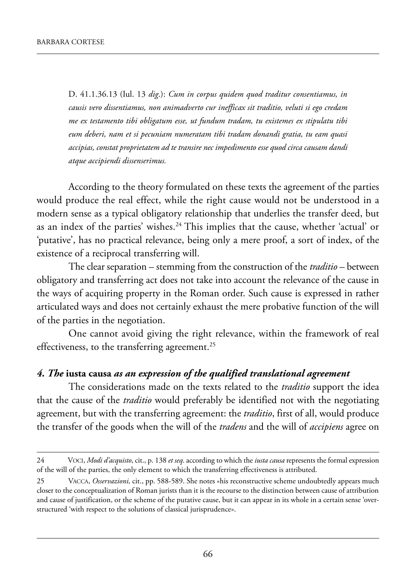d. 41.1.36.13 (iul. 13 *dig*.): *Cum in corpus quidem quod traditur consentiamus, in causis vero dissentiamus, non animadverto cur inefficax sit traditio, veluti si ego credam me ex testamento tibi obligatum esse, ut fundum tradam, tu existemes ex stipulatu tibi eum deberi, nam et si pecuniam numeratam tibi tradam donandi gratia, tu eam quasi accipias, constat proprietatem ad te transire nec impedimento esse quod circa causam dandi atque accipiendi dissenserimus.*

According to the theory formulated on these texts the agreement of the parties would produce the real effect, while the right cause would not be understood in a modern sense as a typical obligatory relationship that underlies the transfer deed, but as an index of the parties' wishes.<sup>24</sup> This implies that the cause, whether 'actual' or 'putative', has no practical relevance, being only a mere proof, a sort of index, of the existence of a reciprocal transferring will.

the clear separation – stemming from the construction of the *traditio* – between obligatory and transferring act does not take into account the relevance of the cause in the ways of acquiring property in the Roman order. Such cause is expressed in rather articulated ways and does not certainly exhaust the mere probative function of the will of the parties in the negotiation.

One cannot avoid giving the right relevance, within the framework of real effectiveness, to the transferring agreement.<sup>25</sup>

#### *4. The* **iusta causa** *as an expression of the qualified translational agreement*

The considerations made on the texts related to the *traditio* support the idea that the cause of the *traditio* would preferably be identified not with the negotiating agreement, but with the transferring agreement: the *traditio*, first of all, would produce the transfer of the goods when the will of the *tradens* and the will of *accipiens* agree on

<sup>24</sup> VoCi, *Modi d'acquisto*, cit., p. 138 *et seq*. according to which the *iusta causa* represents the formal expression of the will of the parties, the only element to which the transferring effectiveness is attributed.

VACCA, *Osservazioni*, cit., pp. 588-589. She notes «his reconstructive scheme undoubtedly appears much closer to the conceptualization of Roman jurists than it is the recourse to the distinction between cause of attribution and cause of justification, or the scheme of the putative cause, but it can appear in its whole in a certain sense 'overstructured 'with respect to the solutions of classical jurisprudence».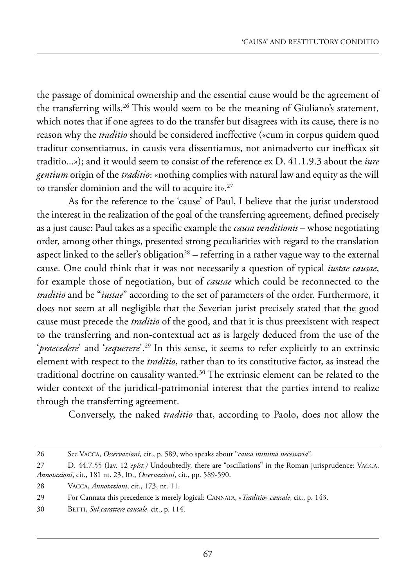the passage of dominical ownership and the essential cause would be the agreement of the transferring wills.<sup>26</sup> This would seem to be the meaning of Giuliano's statement, which notes that if one agrees to do the transfer but disagrees with its cause, there is no reason why the *traditio* should be considered ineffective («cum in corpus quidem quod traditur consentiamus, in causis vera dissentiamus, not animadverto cur inefficax sit traditio...»); and it would seem to consist of the reference ex d. 41.1.9.3 about the *iure gentium* origin of the *traditio*: «nothing complies with natural law and equity as the will to transfer dominion and the will to acquire it».27

As for the reference to the 'cause' of Paul, I believe that the jurist understood the interest in the realization of the goal of the transferring agreement, defined precisely as a just cause: paul takes as a specific example the *causa venditionis* – whose negotiating order, among other things, presented strong peculiarities with regard to the translation aspect linked to the seller's obligation<sup>28</sup> – referring in a rather vague way to the external cause. One could think that it was not necessarily a question of typical *iustae causae*, for example those of negotiation, but of *causae* which could be reconnected to the *traditio* and be "*iustae*" according to the set of parameters of the order. furthermore, it does not seem at all negligible that the Severian jurist precisely stated that the good cause must precede the *traditio* of the good, and that it is thus preexistent with respect to the transferring and non-contextual act as is largely deduced from the use of the '*praecedere*' and '*sequerere*'.<sup>29</sup> In this sense, it seems to refer explicitly to an extrinsic element with respect to the *traditio*, rather than to its constitutive factor, as instead the traditional doctrine on causality wanted. $30$  The extrinsic element can be related to the wider context of the juridical-patrimonial interest that the parties intend to realize through the transferring agreement.

Conversely, the naked *traditio* that, according to Paolo, does not allow the

<sup>26</sup> see VaCCa, *Osservazioni,* cit., p. 589, who speaks about "*causa minima necessaria*".

<sup>27</sup> D. 44.7.55 (Iav. 12 *epist.)* Undoubtedly, there are "oscillations" in the Roman jurisprudence: VACCA, *Annotazioni*, cit., 181 nt. 23, ID., *Osservazioni*, cit., pp. 589-590.

<sup>28</sup> VaCCa, *Annotazioni*, cit., 173, nt. 11.

<sup>29</sup> for Cannata this precedence is merely logical: Cannata, «*Traditio*» *causale*, cit., p. 143.

<sup>30</sup> BETTI, *Sul carattere causale*, cit., p. 114.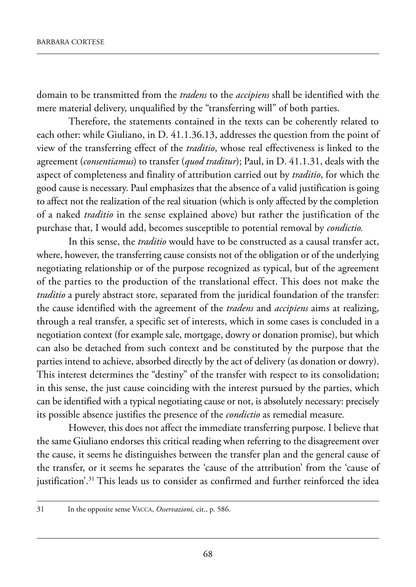domain to be transmitted from the *tradens* to the *accipiens* shall be identified with the mere material delivery, unqualified by the "transferring will" of both parties.

Therefore, the statements contained in the texts can be coherently related to each other: while Giuliano, in  $D. 41.1.36.13$ , addresses the question from the point of view of the transferring effect of the *traditio*, whose real effectiveness is linked to the agreement (*consentiamus*) to transfer (*quod traditur*); Paul, in D. 41.1.31, deals with the aspect of completeness and finality of attribution carried out by *traditio*, for which the good cause is necessary. paul emphasizes that the absence of a valid justification is going to affect not the realization of the real situation (which is only affected by the completion of a naked *traditio* in the sense explained above) but rather the justification of the purchase that, i would add, becomes susceptible to potential removal by *condictio.*

In this sense, the *traditio* would have to be constructed as a causal transfer act, where, however, the transferring cause consists not of the obligation or of the underlying negotiating relationship or of the purpose recognized as typical, but of the agreement of the parties to the production of the translational effect. This does not make the *traditio* a purely abstract store, separated from the juridical foundation of the transfer: the cause identified with the agreement of the *tradens* and *accipiens* aims at realizing, through a real transfer, a specific set of interests, which in some cases is concluded in a negotiation context (for example sale, mortgage, dowry or donation promise), but which can also be detached from such context and be constituted by the purpose that the parties intend to achieve, absorbed directly by the act of delivery (as donation or dowry). This interest determines the "destiny" of the transfer with respect to its consolidation; in this sense, the just cause coinciding with the interest pursued by the parties, which can be identified with a typical negotiating cause or not, is absolutely necessary: precisely its possible absence justifies the presence of the *condictio* as remedial measure*.*

However, this does not affect the immediate transferring purpose. I believe that the same Giuliano endorses this critical reading when referring to the disagreement over the cause, it seems he distinguishes between the transfer plan and the general cause of the transfer, or it seems he separates the 'cause of the attribution' from the 'cause of justification'.<sup>31</sup> This leads us to consider as confirmed and further reinforced the idea

<sup>31</sup> in the opposite sense VaCCa, *Osservazioni,* cit., p. 586.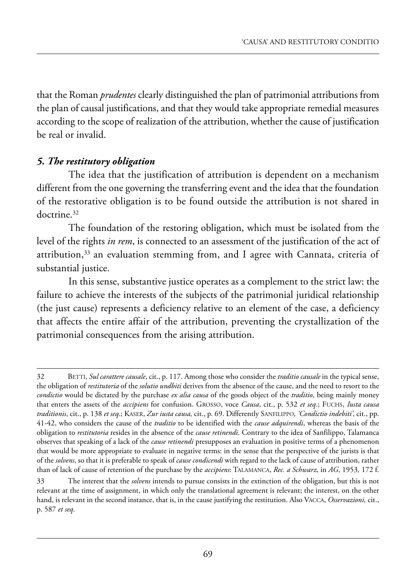that the Roman *prudentes* clearly distinguished the plan of patrimonial attributions from the plan of causal justifications, and that they would take appropriate remedial measures according to the scope of realization of the attribution, whether the cause of justification be real or invalid.

### *5. The restitutory obligation*

The idea that the justification of attribution is dependent on a mechanism different from the one governing the transferring event and the idea that the foundation of the restorative obligation is to be found outside the attribution is not shared in doctrine.32

The foundation of the restoring obligation, which must be isolated from the level of the rights *in rem*, is connected to an assessment of the justification of the act of attribution, $33$  an evaluation stemming from, and I agree with Cannata, criteria of substantial justice.

In this sense, substantive justice operates as a complement to the strict law: the failure to achieve the interests of the subjects of the patrimonial juridical relationship (the just cause) represents a deficiency relative to an element of the case, a deficiency that affects the entire affair of the attribution, preventing the crystallization of the patrimonial consequences from the arising attribution.

<sup>32</sup> Betti, *Sul carattere causale*, cit., p. 117. among those who consider the *traditio causale* in the typical sense, the obligation of *restitutoria* of the *solutio undbiti* derives from the absence of the cause, and the need to resort to the *condictio* would be dictated by the purchase *ex alia causa* of the goods object of the *traditio*, being mainly money that enters the assets of the *accipiens* for confusion. Grosso, voce *Causa*, cit., p. 532 *et seq*.; fuChs, *Iusta causa* traditionis, cit., p. 138 et seq.; KASER, Zur iusta causa, cit., p. 69. Differently SANFILIPPO, 'Condictio indebiti', cit., pp. 41-42, who considers the cause of the *traditio* to be identified with the *cause adquirendi*, whereas the basis of the obligation to *restitutoria* resides in the absence of the *cause retinendi*. Contrary to the idea of sanfilippo, talamanca observes that speaking of a lack of the *cause retinendi* presupposes an evaluation in positive terms of a phenomenon that would be more appropriate to evaluate in negative terms: in the sense that the perspective of the jurists is that of the *solvens*, so that it is preferable to speak of *cause condicendi* with regard to the lack of cause of attribution, rather than of lack of cause of retention of the purchase by the *accipiens*: TALAMANCA, *Rec. a Schwarz*, in AG, 1953, 172 f.

<sup>33</sup> the interest that the *solvens* intends to pursue consists in the extinction of the obligation, but this is not relevant at the time of assignment, in which only the translational agreement is relevant; the interest, on the other hand, is relevant in the second instance, that is, in the cause justifying the restitution. Also VACCA, *Osservazioni*, cit., p. 587 *et seq*.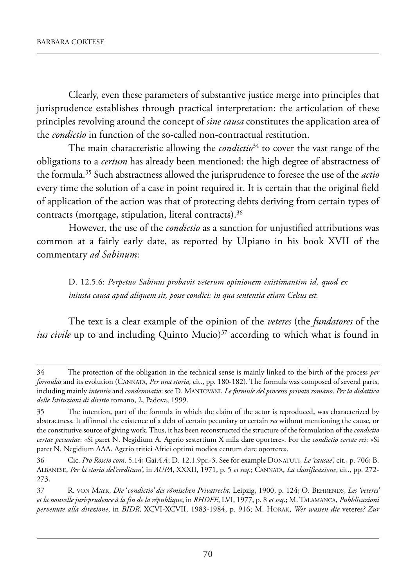Clearly, even these parameters of substantive justice merge into principles that jurisprudence establishes through practical interpretation: the articulation of these principles revolving around the concept of *sine causa* constitutes the application area of the *condictio* in function of the so-called non-contractual restitution.

The main characteristic allowing the *condictio*<sup>34</sup> to cover the vast range of the obligations to a *certum* has already been mentioned: the high degree of abstractness of the formula.35 such abstractness allowed the jurisprudence to foresee the use of the *actio* every time the solution of a case in point required it. it is certain that the original field of application of the action was that of protecting debts deriving from certain types of contracts (mortgage, stipulation, literal contracts).36

however, the use of the *condictio* as a sanction for unjustified attributions was common at a fairly early date, as reported by Ulpiano in his book XVII of the commentary *ad Sabinum*:

D. 12.5.6: Perpetuo Sabinus probavit veterum opinionem existimantim id, quod ex *iniusta causa apud aliquem sit, posse condici: in qua sententia etiam Celsus est.*

the text is a clear example of the opinion of the *veteres* (the *fundatores* of the *ius civile* up to and including Quinto Mucio)<sup>37</sup> according to which what is found in

<sup>34</sup> the protection of the obligation in the technical sense is mainly linked to the birth of the process *per formulas* and its evolution (Cannata, *Per una storia,* cit., pp. 180-182). the formula was composed of several parts, including mainly *intentio* and *condemnatio*: see d. mantoVani, *Le formule del processo privato romano*. *Per la didattica delle Istituzioni di diritto* romano, 2, padova, 1999.

<sup>35</sup> the intention, part of the formula in which the claim of the actor is reproduced, was characterized by abstractness. it affirmed the existence of a debt of certain pecuniary or certain *res* without mentioning the cause, or the constitutive source of giving work. thus, it has been reconstructed the structure of the formulation of the *condictio certae pecuniae*: «si paret n. negidium a. agerio sestertium X mila dare oportere». for the *condictio certae rei*: *«*si paret N. Negidium AAA. Agerio tritici Africi optimi modios centum dare oportere».

<sup>36</sup> Cic. *Pro Roscio com.* 5.14; Gai.4.4; D. 12.1.9pr.-3. See for example DONATUTI, *Le 'causae'*, cit., p. 706; B. alBanese, *Per la storia del'creditum'*, in *AUPA*, XXXii, 1971, p. 5 *et seq*.; Cannata, *La classificazione*, cit., pp. 272- 273.

<sup>37</sup> r. Von maYr, *Die* '*condictio' des römischen Privatrecht,* leipzig, 1900, p. 124; o. Behrends, *Les 'veteres' et la nouvelle jurisprudence à la fin de la république*, in *RHDFE*, lVi, 1977, p. 8 *et seq*.; m. talamanCa, *Pubblicazioni pervenute alla direzione*, in *BIDR*, XCVi-XCVii, 1983-1984, p. 916; m. horak, *Wer wassen die* veteres*? Zur*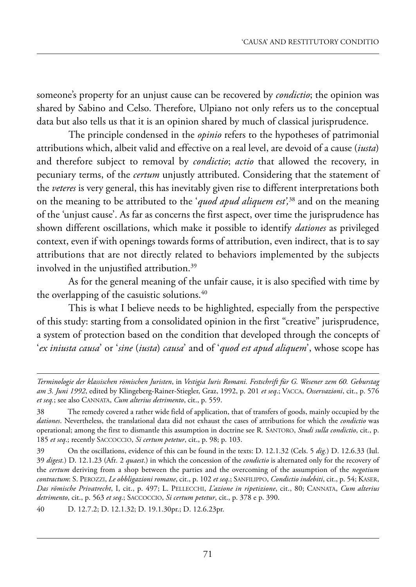someone's property for an unjust cause can be recovered by *condictio*; the opinion was shared by Sabino and Celso. Therefore, Ulpiano not only refers us to the conceptual data but also tells us that it is an opinion shared by much of classical jurisprudence.

The principle condensed in the *opinio* refers to the hypotheses of patrimonial attributions which, albeit valid and effective on a real level, are devoid of a cause (*iusta*) and therefore subject to removal by *condictio*; *actio* that allowed the recovery, in pecuniary terms, of the *certum* unjustly attributed. Considering that the statement of the *veteres* is very general, this has inevitably given rise to different interpretations both on the meaning to be attributed to the '*quod apud aliquem est',*<sup>38</sup> and on the meaning of the 'unjust cause'. As far as concerns the first aspect, over time the jurisprudence has shown different oscillations, which make it possible to identify *dationes* as privileged context, even if with openings towards forms of attribution, even indirect, that is to say attributions that are not directly related to behaviors implemented by the subjects involved in the unjustified attribution.<sup>39</sup>

As for the general meaning of the unfair cause, it is also specified with time by the overlapping of the casuistic solutions.<sup>40</sup>

This is what I believe needs to be highlighted, especially from the perspective of this study: starting from a consolidated opinion in the first "creative" jurisprudence, a system of protection based on the condition that developed through the concepts of '*ex iniusta causa*' or '*sine* (*iusta*) *causa*' and of '*quod est apud aliquem*', whose scope has

*Terminologie der klassischen römischen Juristen*, in *Vestigia Iuris Romani. Festschrift für G. Wesener zem 60. Geburstag am 3. Juni 1992*, edited by Klingeberg-Rainer-Stiegler, Graz, 1992, p. 201 et seq.; VACCA, Osservazioni, cit., p. 576 *et seq.*; see also Cannata, *Cum alterius detrimento*, cit., p. 559.

<sup>38</sup> the remedy covered a rather wide field of application, that of transfers of goods, mainly occupied by the *dationes*. Nevertheless, the translational data did not exhaust the cases of attributions for which the *condictio* was operational; among the first to dismantle this assumption in doctrine see R. SANTORO, *Studi sulla condictio*, cit., p. 185 *et seq*.; recently saCCoCCio, *Si certum petetur*, cit., p. 98; p. 103.

<sup>39</sup> On the oscillations, evidence of this can be found in the texts: D. 12.1.32 (Cels. 5 *dig.*) D. 12.6.33 (Iul. 39 *digest.*) D. 12.1.23 (Afr. 2 *quaest.*) in which the concession of the *condictio* is alternated only for the recovery of the *certum* deriving from a shop between the parties and the overcoming of the assumption of the *negotium contractum*: s. peroZZi, *Le obbligazioni romane*, cit., p. 102 *et seq*.; sanfilippo, *Condictio indebiti*, cit., p. 54; kaser, *Das römische Privatrecht*, i, cit., p. 497; l. pelleCChi, *L'azione in ripetizione*, cit., 80; Cannata, *Cum alterius detrimento*, cit., p. 563 *et seq*.; saCCoCCio, *Si certum petetur*, cit., p. 378 e p. 390.

<sup>40</sup> D. 12.7.2; D. 12.1.32; D. 19.1.30pr.; D. 12.6.23pr.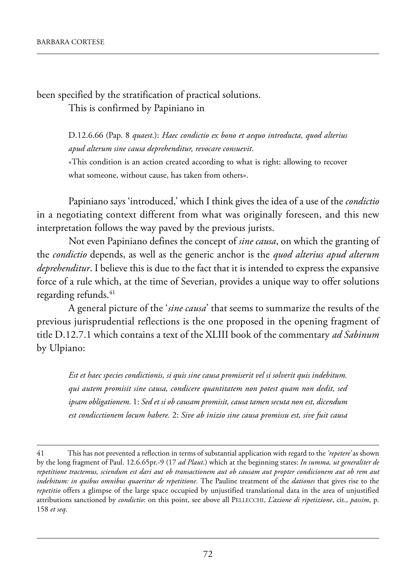been specified by the stratification of practical solutions. This is confirmed by Papiniano in

> d.12.6.66 (pap. 8 *quaest*.): *Haec condictio ex bono et aequo introducta, quod alterius apud alterum sine causa deprehenditur, revocare consuevit*.

> «This condition is an action created according to what is right: allowing to recover what someone, without cause, has taken from others».

papiniano says 'introduced,' which i think gives the idea of a use of the *condictio* in a negotiating context different from what was originally foreseen, and this new interpretation follows the way paved by the previous jurists.

Not even Papiniano defines the concept of *sine causa*, on which the granting of the *condictio* depends, as well as the generic anchor is the *quod alterius apud alterum deprehenditur*. I believe this is due to the fact that it is intended to express the expansive force of a rule which, at the time of Severian, provides a unique way to offer solutions regarding refunds.<sup>41</sup>

a general picture of the '*sine causa*' that seems to summarize the results of the previous jurisprudential reflections is the one proposed in the opening fragment of title D.12.7.1 which contains a text of the XLIII book of the commentary *ad Sabinum* by Ulpiano:

*Est et haec species condictionis, si quis sine causa promiserit vel si solverit quis indebitum. qui autem promisit sine causa, condicere quantitatem non potest quam non dedit, sed ipsam obligationem.* 1: *Sed et si ob causam promisit, causa tamen secuta non est, dicendum est condicctionem locum habere.* 2: *Sive ab inizio sine causa promissu est, sive fuit causa*

<sup>41</sup> this has not prevented a reflection in terms of substantial application with regard to the *'repetere'* as shown by the long fragment of paul. 12.6.65pr.-9 (17 *ad Plaut*.) which at the beginning states: *In summa, ut generaliter de repetitione tractemus, sciendum est dari aut ob transactionem aut ob causam aut propter condicionem aut ob rem aut indebitum: in quibus omnibus quaeritur de repetitione.* The Pauline treatment of the *dationes* that gives rise to the *repetitio* offers a glimpse of the large space occupied by unjustified translational data in the area of unjustified attributions sanctioned by *condictio*: on this point, see above all PELLECCHI, *L'azione di ripetizione*, cit., *passim*, p. 158 *et seq*.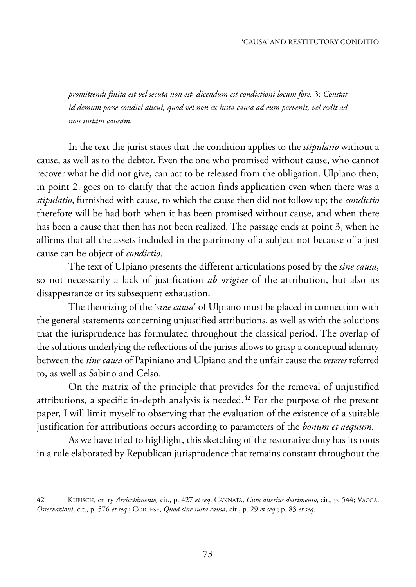*promittendi finita est vel secuta non est, dicendum est condictioni locum fore.* 3: *Constat id demum posse condici alicui, quod vel non ex iusta causa ad eum pervenit, vel redit ad non iustam causam*.

in the text the jurist states that the condition applies to the *stipulatio* without a cause, as well as to the debtor. Even the one who promised without cause, who cannot recover what he did not give, can act to be released from the obligation. Ulpiano then, in point 2, goes on to clarify that the action finds application even when there was a *stipulatio*, furnished with cause, to which the cause then did not follow up; the *condictio* therefore will be had both when it has been promised without cause, and when there has been a cause that then has not been realized. The passage ends at point 3, when he affirms that all the assets included in the patrimony of a subject not because of a just cause can be object of *condictio*.

The text of Ulpiano presents the different articulations posed by the *sine causa*, so not necessarily a lack of justification *ab origine* of the attribution, but also its disappearance or its subsequent exhaustion.

The theorizing of the '*sine causa*' of Ulpiano must be placed in connection with the general statements concerning unjustified attributions, as well as with the solutions that the jurisprudence has formulated throughout the classical period. The overlap of the solutions underlying the reflections of the jurists allows to grasp a conceptual identity between the *sine causa* of Papiniano and Ulpiano and the unfair cause the *veteres* referred to, as well as sabino and Celso.

On the matrix of the principle that provides for the removal of unjustified attributions, a specific in-depth analysis is needed.<sup> $42$ </sup> For the purpose of the present paper, I will limit myself to observing that the evaluation of the existence of a suitable justification for attributions occurs according to parameters of the *bonum et aequum*.

As we have tried to highlight, this sketching of the restorative duty has its roots in a rule elaborated by Republican jurisprudence that remains constant throughout the

<sup>42</sup> kupisCh, entry *Arricchimento,* cit., p. 427 *et seq*. Cannata, *Cum alterius detrimento*, cit., p. 544; VaCCa, *Osservazioni*, cit., p. 576 *et seq*.; Cortese, *Quod sine iusta causa*, cit., p. 29 *et seq*.; p. 83 *et seq*.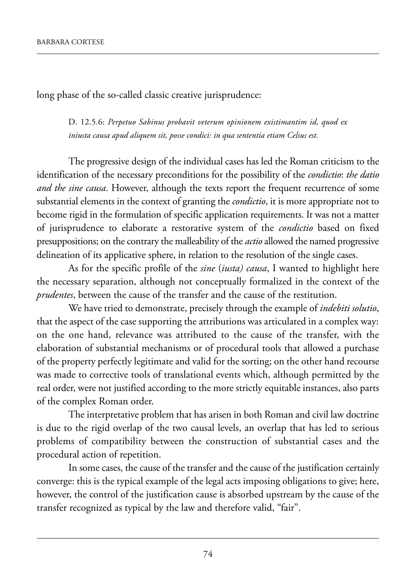long phase of the so-called classic creative jurisprudence:

D. 12.5.6: Perpetuo Sabinus probavit veterum opinionem existimantim id, quod ex *iniusta causa apud aliquem sit, posse condici: in qua sententia etiam Celsus est.*

The progressive design of the individual cases has led the Roman criticism to the identification of the necessary preconditions for the possibility of the *condictio*: *the datio and the sine causa*. However, although the texts report the frequent recurrence of some substantial elements in the context of granting the *condictio*, it is more appropriate not to become rigid in the formulation of specific application requirements. it was not a matter of jurisprudence to elaborate a restorative system of the *condictio* based on fixed presuppositions; on the contrary the malleability of the *actio* allowed the named progressive delineation of its applicative sphere, in relation to the resolution of the single cases.

As for the specific profile of the *sine* (*iusta*) causa, I wanted to highlight here the necessary separation, although not conceptually formalized in the context of the *prudentes*, between the cause of the transfer and the cause of the restitution.

we have tried to demonstrate, precisely through the example of *indebiti solutio*, that the aspect of the case supporting the attributions was articulated in a complex way: on the one hand, relevance was attributed to the cause of the transfer, with the elaboration of substantial mechanisms or of procedural tools that allowed a purchase of the property perfectly legitimate and valid for the sorting; on the other hand recourse was made to corrective tools of translational events which, although permitted by the real order, were not justified according to the more strictly equitable instances, also parts of the complex Roman order.

The interpretative problem that has arisen in both Roman and civil law doctrine is due to the rigid overlap of the two causal levels, an overlap that has led to serious problems of compatibility between the construction of substantial cases and the procedural action of repetition.

In some cases, the cause of the transfer and the cause of the justification certainly converge: this is the typical example of the legal acts imposing obligations to give; here, however, the control of the justification cause is absorbed upstream by the cause of the transfer recognized as typical by the law and therefore valid, "fair".